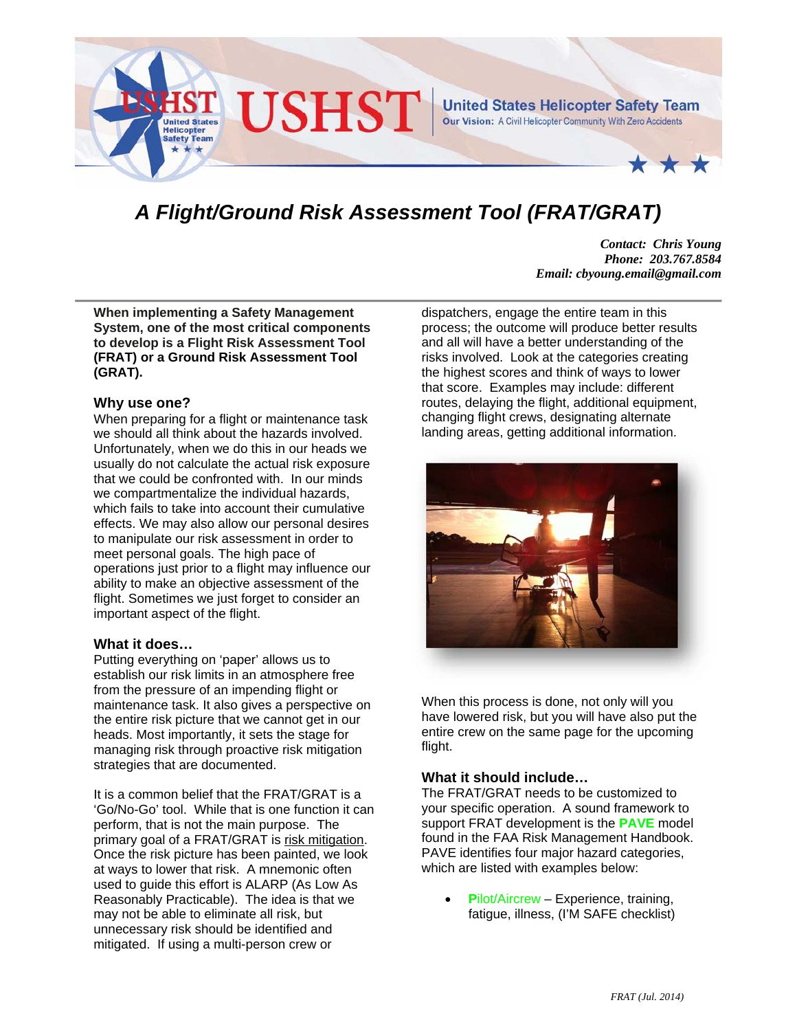

# *A Flight/Ground Risk Assessment Tool (FRAT/GRAT)*

*Contact: Chris Young Phone: 203.767.8584 Email: cbyoung.email@gmail.com* 

**When implementing a Safety Management System, one of the most critical components to develop is a Flight Risk Assessment Tool (FRAT) or a Ground Risk Assessment Tool (GRAT).** 

### **Why use one?**

When preparing for a flight or maintenance task we should all think about the hazards involved. Unfortunately, when we do this in our heads we usually do not calculate the actual risk exposure that we could be confronted with. In our minds we compartmentalize the individual hazards, which fails to take into account their cumulative effects. We may also allow our personal desires to manipulate our risk assessment in order to meet personal goals. The high pace of operations just prior to a flight may influence our ability to make an objective assessment of the flight. Sometimes we just forget to consider an important aspect of the flight.

#### **What it does…**

Putting everything on 'paper' allows us to establish our risk limits in an atmosphere free from the pressure of an impending flight or maintenance task. It also gives a perspective on the entire risk picture that we cannot get in our heads. Most importantly, it sets the stage for managing risk through proactive risk mitigation strategies that are documented.

It is a common belief that the FRAT/GRAT is a 'Go/No-Go' tool. While that is one function it can perform, that is not the main purpose. The primary goal of a FRAT/GRAT is risk mitigation. Once the risk picture has been painted, we look at ways to lower that risk. A mnemonic often used to guide this effort is ALARP (As Low As Reasonably Practicable). The idea is that we may not be able to eliminate all risk, but unnecessary risk should be identified and mitigated. If using a multi-person crew or

dispatchers, engage the entire team in this process; the outcome will produce better results and all will have a better understanding of the risks involved. Look at the categories creating the highest scores and think of ways to lower that score. Examples may include: different routes, delaying the flight, additional equipment, changing flight crews, designating alternate landing areas, getting additional information.



When this process is done, not only will you have lowered risk, but you will have also put the entire crew on the same page for the upcoming flight.

## **What it should include…**

The FRAT/GRAT needs to be customized to your specific operation. A sound framework to support FRAT development is the **PAVE** model found in the FAA Risk Management Handbook. PAVE identifies four major hazard categories, which are listed with examples below:

 **P**ilot/Aircrew – Experience, training, fatigue, illness, (I'M SAFE checklist)